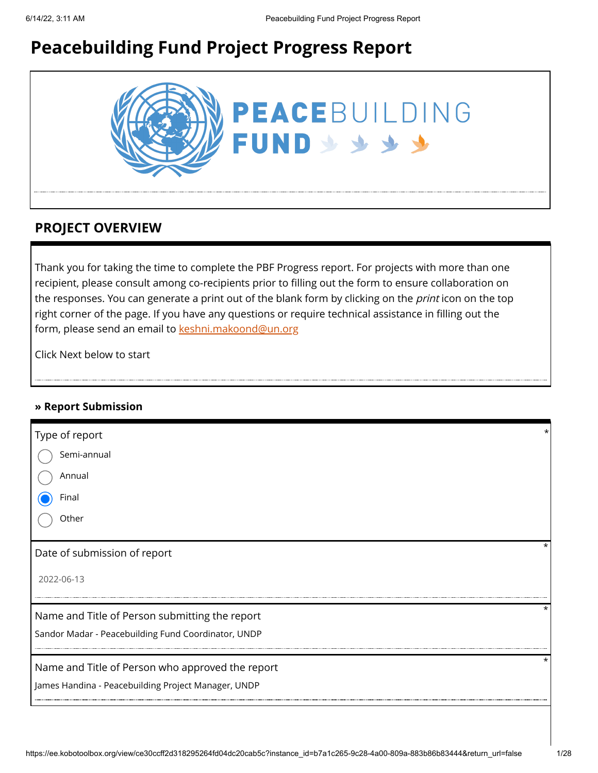# **Peacebuilding Fund Project Progress Report**



## **PROJECT OVERVIEW**

Thank you for taking the time to complete the PBF Progress report. For projects with more than one recipient, please consult among co-recipients prior to filling out the form to ensure collaboration on the responses. You can generate a print out of the blank form by clicking on the *print* icon on the top right corner of the page. If you have any questions or require technical assistance in filling out the form, please send an email to [keshni.makoond@un.org](https://ee.kobotoolbox.org/view/keshni.makoond@un.org)

Click Next below to start

### **» Report Submission**

| Type of report                                      |          |
|-----------------------------------------------------|----------|
| Semi-annual                                         |          |
| Annual                                              |          |
| Final                                               |          |
| Other                                               |          |
| Date of submission of report                        | *        |
| 2022-06-13                                          |          |
| Name and Title of Person submitting the report      | $^\star$ |
| Sandor Madar - Peacebuilding Fund Coordinator, UNDP |          |
| Name and Title of Person who approved the report    | $\star$  |
| James Handina - Peacebuilding Project Manager, UNDP |          |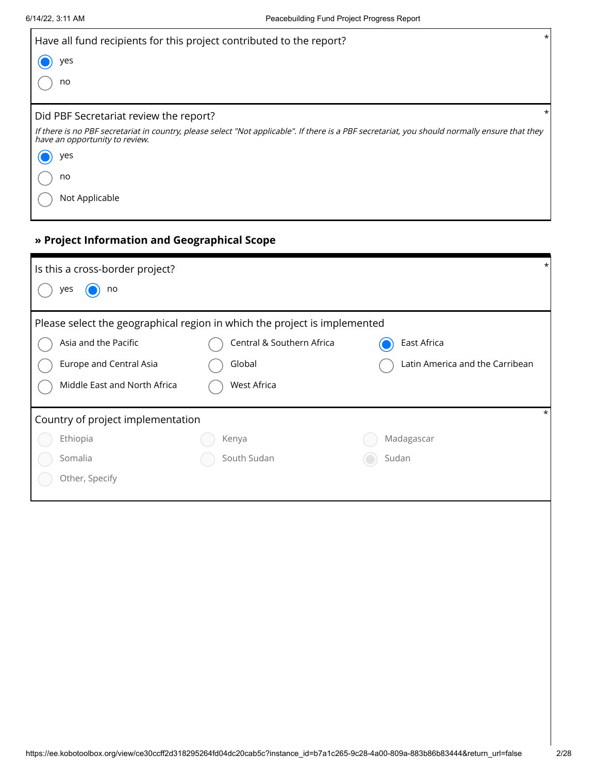| Have all fund recipients for this project contributed to the report?                                                                                                             | $\star$ |
|----------------------------------------------------------------------------------------------------------------------------------------------------------------------------------|---------|
| yes                                                                                                                                                                              |         |
| no                                                                                                                                                                               |         |
| Did PBF Secretariat review the report?                                                                                                                                           | *       |
| If there is no PBF secretariat in country, please select "Not applicable". If there is a PBF secretariat, you should normally ensure that they<br>have an opportunity to review. |         |
| yes                                                                                                                                                                              |         |
| no                                                                                                                                                                               |         |
| Not Applicable                                                                                                                                                                   |         |

# **» Project Information and Geographical Scope**

| Is this a cross-border project?                                           |                           | $\star$                         |
|---------------------------------------------------------------------------|---------------------------|---------------------------------|
| no<br>yes                                                                 |                           |                                 |
| Please select the geographical region in which the project is implemented |                           |                                 |
| Asia and the Pacific                                                      | Central & Southern Africa | East Africa                     |
| Europe and Central Asia                                                   | Global                    | Latin America and the Carribean |
| Middle East and North Africa                                              | West Africa               |                                 |
| Country of project implementation                                         |                           |                                 |
| Ethiopia                                                                  | Kenya                     | Madagascar                      |
| Somalia                                                                   | South Sudan               | Sudan                           |
| Other, Specify                                                            |                           |                                 |
|                                                                           |                           |                                 |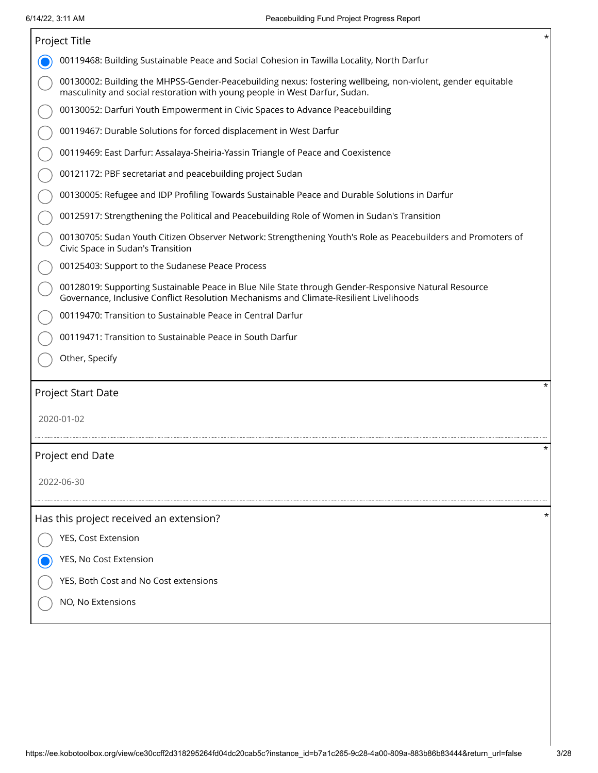|            | Project Title                                                                                                                                                                                  | $^\star$ |  |  |  |  |
|------------|------------------------------------------------------------------------------------------------------------------------------------------------------------------------------------------------|----------|--|--|--|--|
|            | 00119468: Building Sustainable Peace and Social Cohesion in Tawilla Locality, North Darfur                                                                                                     |          |  |  |  |  |
|            | 00130002: Building the MHPSS-Gender-Peacebuilding nexus: fostering wellbeing, non-violent, gender equitable<br>masculinity and social restoration with young people in West Darfur, Sudan.     |          |  |  |  |  |
|            | 00130052: Darfuri Youth Empowerment in Civic Spaces to Advance Peacebuilding                                                                                                                   |          |  |  |  |  |
|            | 00119467: Durable Solutions for forced displacement in West Darfur                                                                                                                             |          |  |  |  |  |
|            | 00119469: East Darfur: Assalaya-Sheiria-Yassin Triangle of Peace and Coexistence                                                                                                               |          |  |  |  |  |
|            | 00121172: PBF secretariat and peacebuilding project Sudan                                                                                                                                      |          |  |  |  |  |
|            | 00130005: Refugee and IDP Profiling Towards Sustainable Peace and Durable Solutions in Darfur                                                                                                  |          |  |  |  |  |
|            | 00125917: Strengthening the Political and Peacebuilding Role of Women in Sudan's Transition                                                                                                    |          |  |  |  |  |
|            | 00130705: Sudan Youth Citizen Observer Network: Strengthening Youth's Role as Peacebuilders and Promoters of<br>Civic Space in Sudan's Transition                                              |          |  |  |  |  |
|            | 00125403: Support to the Sudanese Peace Process                                                                                                                                                |          |  |  |  |  |
|            | 00128019: Supporting Sustainable Peace in Blue Nile State through Gender-Responsive Natural Resource<br>Governance, Inclusive Conflict Resolution Mechanisms and Climate-Resilient Livelihoods |          |  |  |  |  |
|            | 00119470: Transition to Sustainable Peace in Central Darfur                                                                                                                                    |          |  |  |  |  |
|            | 00119471: Transition to Sustainable Peace in South Darfur                                                                                                                                      |          |  |  |  |  |
|            | Other, Specify                                                                                                                                                                                 |          |  |  |  |  |
|            | Project Start Date                                                                                                                                                                             | $^\star$ |  |  |  |  |
| 2020-01-02 |                                                                                                                                                                                                |          |  |  |  |  |
|            |                                                                                                                                                                                                |          |  |  |  |  |
|            | Project end Date                                                                                                                                                                               | $^\star$ |  |  |  |  |
|            | 2022-06-30                                                                                                                                                                                     |          |  |  |  |  |
|            |                                                                                                                                                                                                |          |  |  |  |  |
|            | Has this project received an extension?                                                                                                                                                        | $\ast$   |  |  |  |  |
|            | YES, Cost Extension                                                                                                                                                                            |          |  |  |  |  |
|            | YES, No Cost Extension                                                                                                                                                                         |          |  |  |  |  |
|            | YES, Both Cost and No Cost extensions                                                                                                                                                          |          |  |  |  |  |
|            | NO, No Extensions                                                                                                                                                                              |          |  |  |  |  |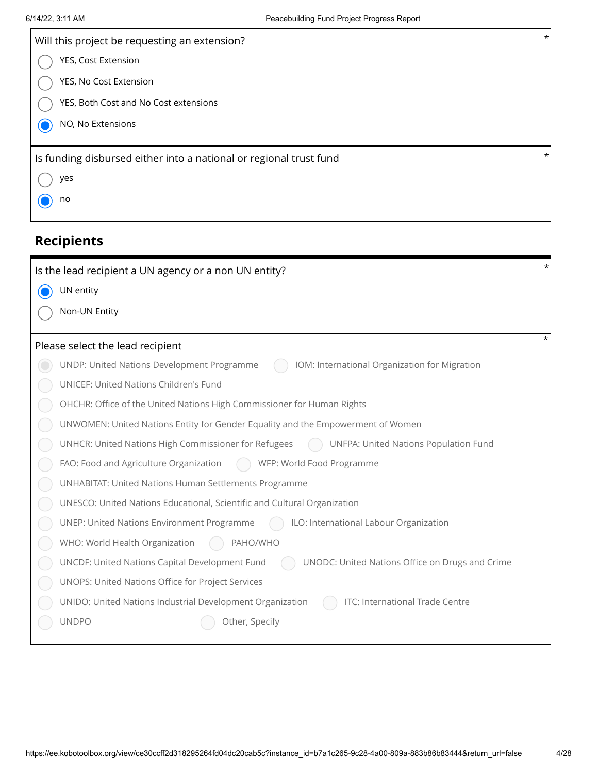| Will this project be requesting an extension?                      | $\star$  |
|--------------------------------------------------------------------|----------|
| YES, Cost Extension                                                |          |
| YES, No Cost Extension                                             |          |
| YES, Both Cost and No Cost extensions                              |          |
| NO, No Extensions                                                  |          |
| Is funding disbursed either into a national or regional trust fund | $\star$  |
| yes                                                                |          |
| no                                                                 |          |
|                                                                    |          |
| <b>Recipients</b>                                                  |          |
| Is the lead recipient a UN agency or a non UN entity?              | $^\star$ |
| UN entity                                                          |          |
| Non-UN Entity                                                      |          |
|                                                                    |          |

# Please select the lead recipient  $*$

| UNDP: United Nations Development Programme<br>IOM: International Organization for Migration<br>UNICEF: United Nations Children's Fund<br>OHCHR: Office of the United Nations High Commissioner for Human Rights<br>UNWOMEN: United Nations Entity for Gender Equality and the Empowerment of Women<br>UNHCR: United Nations High Commissioner for Refugees<br><b>UNFPA: United Nations Population Fund</b><br>FAO: Food and Agriculture Organization<br>( ) WFP: World Food Programme<br><b>UNHABITAT: United Nations Human Settlements Programme</b><br>UNESCO: United Nations Educational, Scientific and Cultural Organization<br>UNEP: United Nations Environment Programme<br>ILO: International Labour Organization<br>PAHO/WHO<br>WHO: World Health Organization<br>UNCDF: United Nations Capital Development Fund<br>UNODC: United Nations Office on Drugs and Crime<br>UNOPS: United Nations Office for Project Services<br>UNIDO: United Nations Industrial Development Organization<br>ITC: International Trade Centre<br><b>UNDPO</b><br>Other, Specify | <b>Reduction Control Control Control Control Control Control Control Control Control Control Control Control Control</b> |  |
|---------------------------------------------------------------------------------------------------------------------------------------------------------------------------------------------------------------------------------------------------------------------------------------------------------------------------------------------------------------------------------------------------------------------------------------------------------------------------------------------------------------------------------------------------------------------------------------------------------------------------------------------------------------------------------------------------------------------------------------------------------------------------------------------------------------------------------------------------------------------------------------------------------------------------------------------------------------------------------------------------------------------------------------------------------------------|--------------------------------------------------------------------------------------------------------------------------|--|
|                                                                                                                                                                                                                                                                                                                                                                                                                                                                                                                                                                                                                                                                                                                                                                                                                                                                                                                                                                                                                                                                     |                                                                                                                          |  |
|                                                                                                                                                                                                                                                                                                                                                                                                                                                                                                                                                                                                                                                                                                                                                                                                                                                                                                                                                                                                                                                                     |                                                                                                                          |  |
|                                                                                                                                                                                                                                                                                                                                                                                                                                                                                                                                                                                                                                                                                                                                                                                                                                                                                                                                                                                                                                                                     |                                                                                                                          |  |
|                                                                                                                                                                                                                                                                                                                                                                                                                                                                                                                                                                                                                                                                                                                                                                                                                                                                                                                                                                                                                                                                     |                                                                                                                          |  |
|                                                                                                                                                                                                                                                                                                                                                                                                                                                                                                                                                                                                                                                                                                                                                                                                                                                                                                                                                                                                                                                                     |                                                                                                                          |  |
|                                                                                                                                                                                                                                                                                                                                                                                                                                                                                                                                                                                                                                                                                                                                                                                                                                                                                                                                                                                                                                                                     |                                                                                                                          |  |
|                                                                                                                                                                                                                                                                                                                                                                                                                                                                                                                                                                                                                                                                                                                                                                                                                                                                                                                                                                                                                                                                     |                                                                                                                          |  |
|                                                                                                                                                                                                                                                                                                                                                                                                                                                                                                                                                                                                                                                                                                                                                                                                                                                                                                                                                                                                                                                                     |                                                                                                                          |  |
|                                                                                                                                                                                                                                                                                                                                                                                                                                                                                                                                                                                                                                                                                                                                                                                                                                                                                                                                                                                                                                                                     |                                                                                                                          |  |
|                                                                                                                                                                                                                                                                                                                                                                                                                                                                                                                                                                                                                                                                                                                                                                                                                                                                                                                                                                                                                                                                     |                                                                                                                          |  |
|                                                                                                                                                                                                                                                                                                                                                                                                                                                                                                                                                                                                                                                                                                                                                                                                                                                                                                                                                                                                                                                                     |                                                                                                                          |  |
|                                                                                                                                                                                                                                                                                                                                                                                                                                                                                                                                                                                                                                                                                                                                                                                                                                                                                                                                                                                                                                                                     |                                                                                                                          |  |
|                                                                                                                                                                                                                                                                                                                                                                                                                                                                                                                                                                                                                                                                                                                                                                                                                                                                                                                                                                                                                                                                     |                                                                                                                          |  |
|                                                                                                                                                                                                                                                                                                                                                                                                                                                                                                                                                                                                                                                                                                                                                                                                                                                                                                                                                                                                                                                                     |                                                                                                                          |  |
|                                                                                                                                                                                                                                                                                                                                                                                                                                                                                                                                                                                                                                                                                                                                                                                                                                                                                                                                                                                                                                                                     |                                                                                                                          |  |
|                                                                                                                                                                                                                                                                                                                                                                                                                                                                                                                                                                                                                                                                                                                                                                                                                                                                                                                                                                                                                                                                     |                                                                                                                          |  |
|                                                                                                                                                                                                                                                                                                                                                                                                                                                                                                                                                                                                                                                                                                                                                                                                                                                                                                                                                                                                                                                                     |                                                                                                                          |  |
|                                                                                                                                                                                                                                                                                                                                                                                                                                                                                                                                                                                                                                                                                                                                                                                                                                                                                                                                                                                                                                                                     |                                                                                                                          |  |
|                                                                                                                                                                                                                                                                                                                                                                                                                                                                                                                                                                                                                                                                                                                                                                                                                                                                                                                                                                                                                                                                     |                                                                                                                          |  |
|                                                                                                                                                                                                                                                                                                                                                                                                                                                                                                                                                                                                                                                                                                                                                                                                                                                                                                                                                                                                                                                                     |                                                                                                                          |  |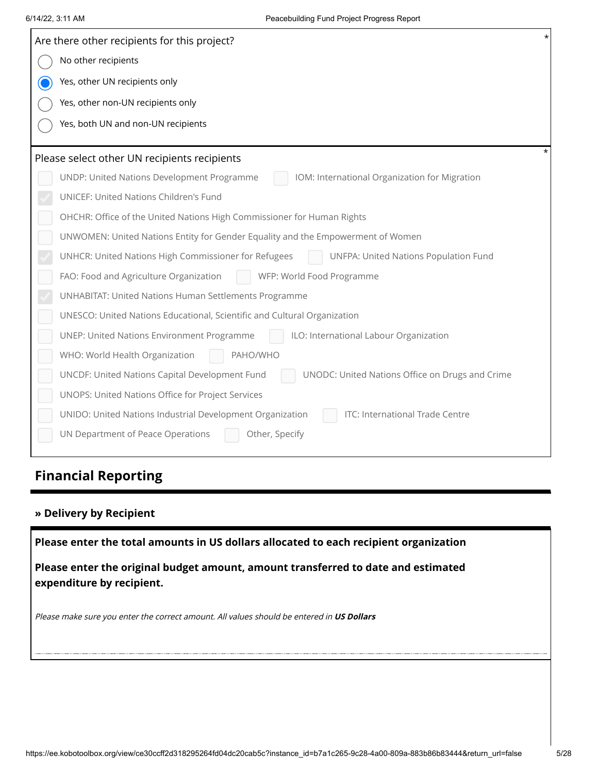| Are there other recipients for this project?                                                      |  |
|---------------------------------------------------------------------------------------------------|--|
| No other recipients                                                                               |  |
| Yes, other UN recipients only                                                                     |  |
| Yes, other non-UN recipients only                                                                 |  |
| Yes, both UN and non-UN recipients                                                                |  |
|                                                                                                   |  |
| Please select other UN recipients recipients                                                      |  |
| IOM: International Organization for Migration<br>UNDP: United Nations Development Programme       |  |
| UNICEF: United Nations Children's Fund                                                            |  |
| OHCHR: Office of the United Nations High Commissioner for Human Rights                            |  |
| UNWOMEN: United Nations Entity for Gender Equality and the Empowerment of Women                   |  |
| UNHCR: United Nations High Commissioner for Refugees<br>UNFPA: United Nations Population Fund     |  |
| FAO: Food and Agriculture Organization<br>WFP: World Food Programme                               |  |
| UNHABITAT: United Nations Human Settlements Programme                                             |  |
| UNESCO: United Nations Educational, Scientific and Cultural Organization                          |  |
| <b>UNEP: United Nations Environment Programme</b><br>ILO: International Labour Organization       |  |
| WHO: World Health Organization<br>PAHO/WHO                                                        |  |
| UNCDF: United Nations Capital Development Fund<br>UNODC: United Nations Office on Drugs and Crime |  |
| UNOPS: United Nations Office for Project Services                                                 |  |
| ITC: International Trade Centre<br>UNIDO: United Nations Industrial Development Organization      |  |
| UN Department of Peace Operations<br>Other, Specify                                               |  |
|                                                                                                   |  |
| <b>Financial Reporting</b>                                                                        |  |
|                                                                                                   |  |
| » Delivery by Recipient                                                                           |  |
| Please enter the total amounts in US dollars allocated to each recipient organization             |  |
| Please enter the original budget amount, amount transferred to date and estimated                 |  |
| expenditure by recipient.                                                                         |  |
|                                                                                                   |  |
| Please make sure you enter the correct amount. All values should be entered in US Dollars         |  |
|                                                                                                   |  |
|                                                                                                   |  |
|                                                                                                   |  |
|                                                                                                   |  |
|                                                                                                   |  |

# **Financial Reporting**

### **» Delivery by Recipient**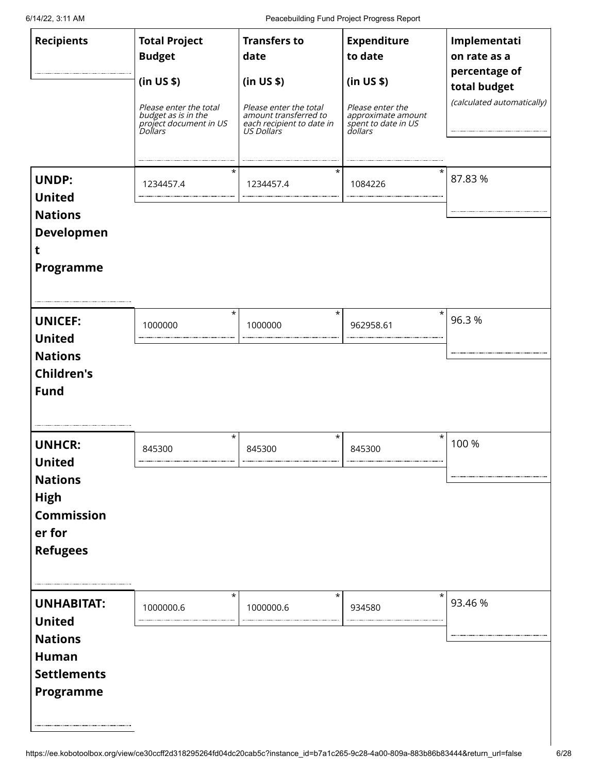6/14/22, 3:11 AM Peacebuilding Fund Project Progress Report

| <b>Recipients</b>                                                                                                 | <b>Total Project</b><br><b>Budget</b><br>(in US \$)<br>Please enter the total<br>budget as is in the<br>project document in US<br>Dollars | <b>Transfers to</b><br>date<br>(in US \$)<br>Please enter the total<br>amount transferred to<br>each recipient to date in<br>US Dollars | <b>Expenditure</b><br>to date<br>(in US \$)<br>Please enter the<br>approximate amount<br>spent to date in US<br>dollars | Implementati<br>on rate as a<br>percentage of<br>total budget<br>(calculated automatically) |
|-------------------------------------------------------------------------------------------------------------------|-------------------------------------------------------------------------------------------------------------------------------------------|-----------------------------------------------------------------------------------------------------------------------------------------|-------------------------------------------------------------------------------------------------------------------------|---------------------------------------------------------------------------------------------|
| <b>UNDP:</b><br><b>United</b><br><b>Nations</b><br><b>Developmen</b><br>t<br>Programme                            | $^\star$<br>1234457.4                                                                                                                     | $^\star$<br>1234457.4                                                                                                                   | 1084226                                                                                                                 | 87.83%                                                                                      |
| <b>UNICEF:</b><br><b>United</b><br><b>Nations</b><br><b>Children's</b><br><b>Fund</b>                             | $\star$<br>1000000                                                                                                                        | $^\star$<br>1000000                                                                                                                     | $\star$<br>962958.61                                                                                                    | 96.3%                                                                                       |
| <b>UNHCR:</b><br><b>United</b><br><b>Nations</b><br><b>High</b><br><b>Commission</b><br>er for<br><b>Refugees</b> | $^\star$<br>845300                                                                                                                        | $^\star$<br>845300                                                                                                                      | $^\star$<br>845300                                                                                                      | 100 %                                                                                       |
| <b>UNHABITAT:</b><br><b>United</b><br><b>Nations</b><br><b>Human</b><br><b>Settlements</b><br>Programme           | $\star$<br>1000000.6                                                                                                                      | $^\star$<br>1000000.6                                                                                                                   | $^\star$<br>934580                                                                                                      | 93.46 %                                                                                     |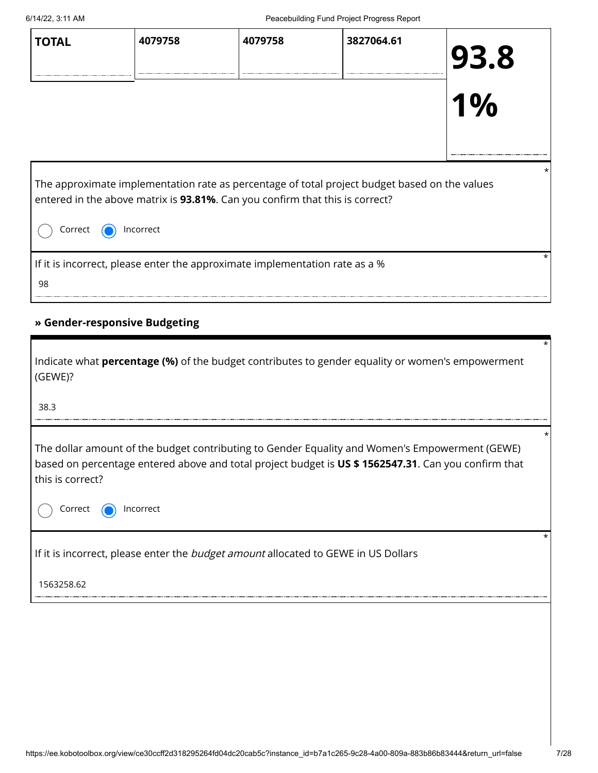| <b>TOTAL</b>                                                                            | 4079758   | 4079758 | 3827064.61                                                                                    | 93.8<br>$1\%$ |
|-----------------------------------------------------------------------------------------|-----------|---------|-----------------------------------------------------------------------------------------------|---------------|
| entered in the above matrix is 93.81%. Can you confirm that this is correct?<br>Correct | Incorrect |         | The approximate implementation rate as percentage of total project budget based on the values |               |
| If it is incorrect, please enter the approximate implementation rate as a %<br>98       |           |         |                                                                                               |               |

### **» Gender-responsive Budgeting**

| Indicate what <b>percentage (%)</b> of the budget contributes to gender equality or women's empowerment<br>(GEWE)?                                                                                                                                | $\star$ |
|---------------------------------------------------------------------------------------------------------------------------------------------------------------------------------------------------------------------------------------------------|---------|
| 38.3                                                                                                                                                                                                                                              |         |
| The dollar amount of the budget contributing to Gender Equality and Women's Empowerment (GEWE)<br>based on percentage entered above and total project budget is US \$1562547.31. Can you confirm that<br>this is correct?<br>Correct<br>Incorrect | *       |
| If it is incorrect, please enter the <i>budget amount</i> allocated to GEWE in US Dollars                                                                                                                                                         | *       |
| 1563258.62                                                                                                                                                                                                                                        |         |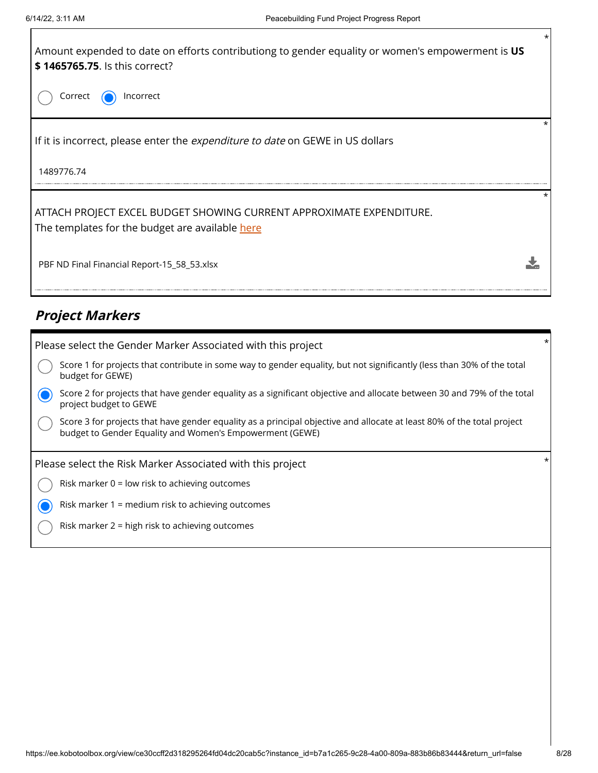

# **Project Markers**

| Please select the Gender Marker Associated with this project                                                                                                                       | $\star$ |
|------------------------------------------------------------------------------------------------------------------------------------------------------------------------------------|---------|
| Score 1 for projects that contribute in some way to gender equality, but not significantly (less than 30% of the total<br>budget for GEWE)                                         |         |
| Score 2 for projects that have gender equality as a significant objective and allocate between 30 and 79% of the total<br>project budget to GEWE                                   |         |
| Score 3 for projects that have gender equality as a principal objective and allocate at least 80% of the total project<br>budget to Gender Equality and Women's Empowerment (GEWE) |         |
| Please select the Risk Marker Associated with this project                                                                                                                         |         |
| Risk marker $0 =$ low risk to achieving outcomes                                                                                                                                   |         |
| Risk marker 1 = medium risk to achieving outcomes                                                                                                                                  |         |
| Risk marker 2 = high risk to achieving outcomes                                                                                                                                    |         |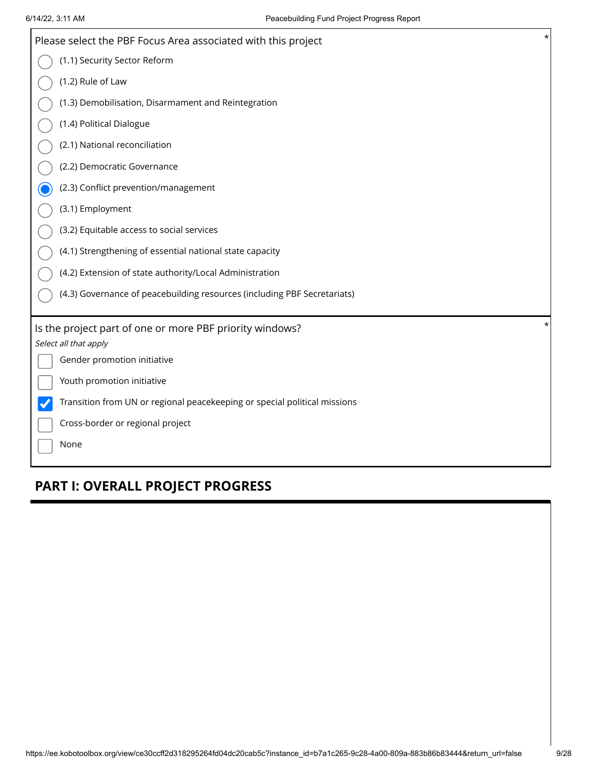| $\star$<br>Please select the PBF Focus Area associated with this project          |
|-----------------------------------------------------------------------------------|
| (1.1) Security Sector Reform                                                      |
| (1.2) Rule of Law                                                                 |
| (1.3) Demobilisation, Disarmament and Reintegration                               |
| (1.4) Political Dialogue                                                          |
| (2.1) National reconciliation                                                     |
| (2.2) Democratic Governance                                                       |
| (2.3) Conflict prevention/management                                              |
| (3.1) Employment                                                                  |
| (3.2) Equitable access to social services                                         |
| (4.1) Strengthening of essential national state capacity                          |
| (4.2) Extension of state authority/Local Administration                           |
| (4.3) Governance of peacebuilding resources (including PBF Secretariats)          |
| $^\star$                                                                          |
| Is the project part of one or more PBF priority windows?<br>Select all that apply |
| Gender promotion initiative                                                       |
| Youth promotion initiative                                                        |
| Transition from UN or regional peacekeeping or special political missions         |
| Cross-border or regional project                                                  |
| None                                                                              |

# **PART I: OVERALL PROJECT PROGRESS**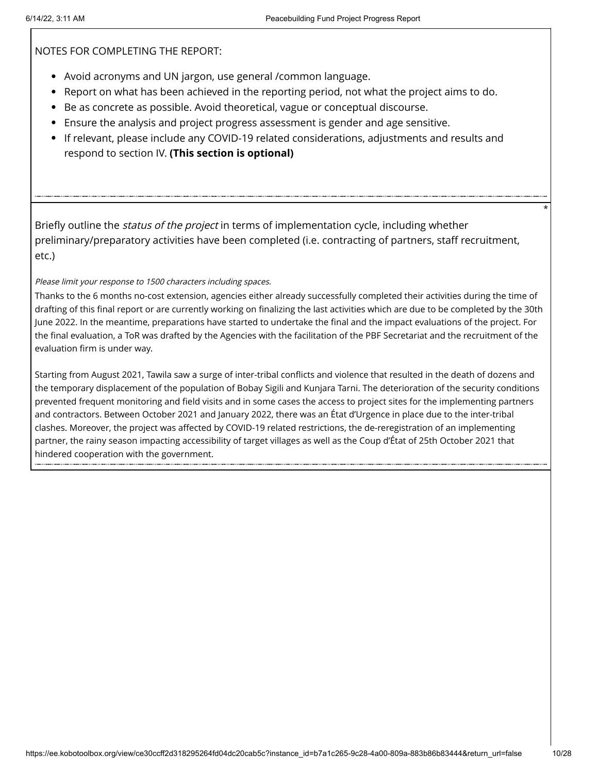NOTES FOR COMPLETING THE REPORT:

- Avoid acronyms and UN jargon, use general /common language.
- Report on what has been achieved in the reporting period, not what the project aims to do.
- Be as concrete as possible. Avoid theoretical, vague or conceptual discourse.
- Ensure the analysis and project progress assessment is gender and age sensitive.
- If relevant, please include any COVID-19 related considerations, adjustments and results and respond to section IV. **(This section is optional)**

Briefly outline the *status of the project* in terms of implementation cycle, including whether preliminary/preparatory activities have been completed (i.e. contracting of partners, staff recruitment, etc.)

Please limit your response to 1500 characters including spaces.

Thanks to the 6 months no-cost extension, agencies either already successfully completed their activities during the time of drafting of this final report or are currently working on finalizing the last activities which are due to be completed by the 30th June 2022. In the meantime, preparations have started to undertake the final and the impact evaluations of the project. For the final evaluation, a ToR was drafted by the Agencies with the facilitation of the PBF Secretariat and the recruitment of the evaluation firm is under way.

Starting from August 2021, Tawila saw a surge of inter-tribal conflicts and violence that resulted in the death of dozens and the temporary displacement of the population of Bobay Sigili and Kunjara Tarni. The deterioration of the security conditions prevented frequent monitoring and field visits and in some cases the access to project sites for the implementing partners and contractors. Between October 2021 and January 2022, there was an État d'Urgence in place due to the inter-tribal clashes. Moreover, the project was affected by COVID-19 related restrictions, the de-reregistration of an implementing partner, the rainy season impacting accessibility of target villages as well as the Coup d'État of 25th October 2021 that hindered cooperation with the government.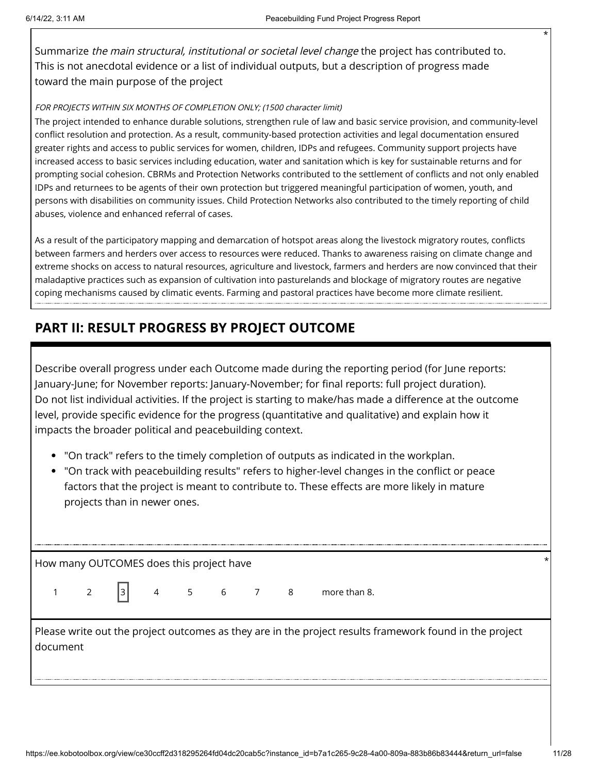Summarize the main structural, institutional or societal level change the project has contributed to. This is not anecdotal evidence or a list of individual outputs, but a description of progress made toward the main purpose of the project

#### FOR PROJECTS WITHIN SIX MONTHS OF COMPLETION ONLY; (1500 character limit)

The project intended to enhance durable solutions, strengthen rule of law and basic service provision, and community-level conflict resolution and protection. As a result, community-based protection activities and legal documentation ensured greater rights and access to public services for women, children, IDPs and refugees. Community support projects have increased access to basic services including education, water and sanitation which is key for sustainable returns and for prompting social cohesion. CBRMs and Protection Networks contributed to the settlement of conflicts and not only enabled IDPs and returnees to be agents of their own protection but triggered meaningful participation of women, youth, and persons with disabilities on community issues. Child Protection Networks also contributed to the timely reporting of child abuses, violence and enhanced referral of cases.

As a result of the participatory mapping and demarcation of hotspot areas along the livestock migratory routes, conflicts between farmers and herders over access to resources were reduced. Thanks to awareness raising on climate change and extreme shocks on access to natural resources, agriculture and livestock, farmers and herders are now convinced that their maladaptive practices such as expansion of cultivation into pasturelands and blockage of migratory routes are negative coping mechanisms caused by climatic events. Farming and pastoral practices have become more climate resilient.

# **PART II: RESULT PROGRESS BY PROJECT OUTCOME**

Describe overall progress under each Outcome made during the reporting period (for June reports: January-June; for November reports: January-November; for final reports: full project duration). Do not list individual activities. If the project is starting to make/has made a difference at the outcome level, provide specific evidence for the progress (quantitative and qualitative) and explain how it impacts the broader political and peacebuilding context.

- "On track" refers to the timely completion of outputs as indicated in the workplan.
- "On track with peacebuilding results" refers to higher-level changes in the conflict or peace factors that the project is meant to contribute to. These effects are more likely in mature projects than in newer ones.

How many OUTCOMES does this project have \*

 $1 \t2 \t3 \t4 \t5 \t6 \t7 \t8 \t more than 8.$ 

Please write out the project outcomes as they are in the project results framework found in the project document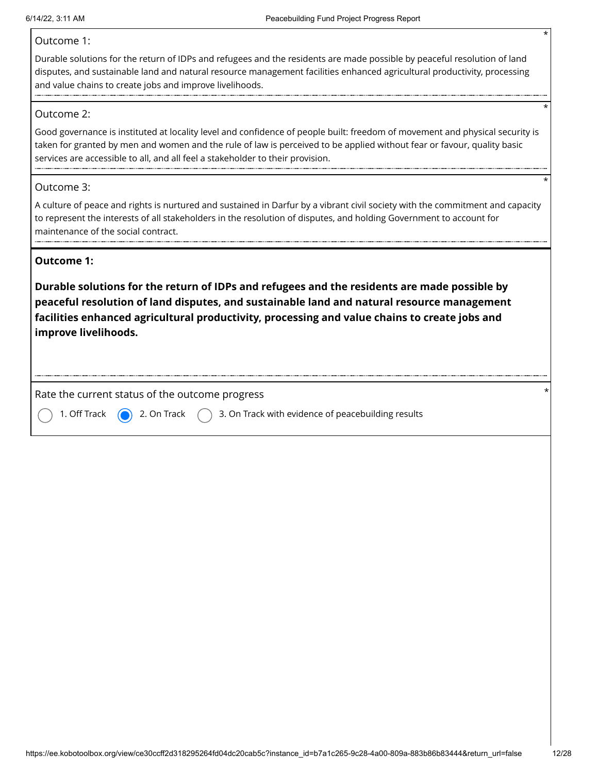#### Outcome 1:

Durable solutions for the return of IDPs and refugees and the residents are made possible by peaceful resolution of land disputes, and sustainable land and natural resource management facilities enhanced agricultural productivity, processing and value chains to create jobs and improve livelihoods.

#### Outcome 2:

Good governance is instituted at locality level and confidence of people built: freedom of movement and physical security is taken for granted by men and women and the rule of law is perceived to be applied without fear or favour, quality basic services are accessible to all, and all feel a stakeholder to their provision.

#### Outcome 3:

A culture of peace and rights is nurtured and sustained in Darfur by a vibrant civil society with the commitment and capacity to represent the interests of all stakeholders in the resolution of disputes, and holding Government to account for maintenance of the social contract.

#### **Outcome 1:**

**Durable solutions for the return of IDPs and refugees and the residents are made possible by peaceful resolution of land disputes, and sustainable land and natural resource management facilities enhanced agricultural productivity, processing and value chains to create jobs and improve livelihoods.**

Rate the current status of the outcome progress



1. Off Track  $\bigcirc$  2. On Track  $\bigcirc$  3. On Track with evidence of peacebuilding results

\*

\*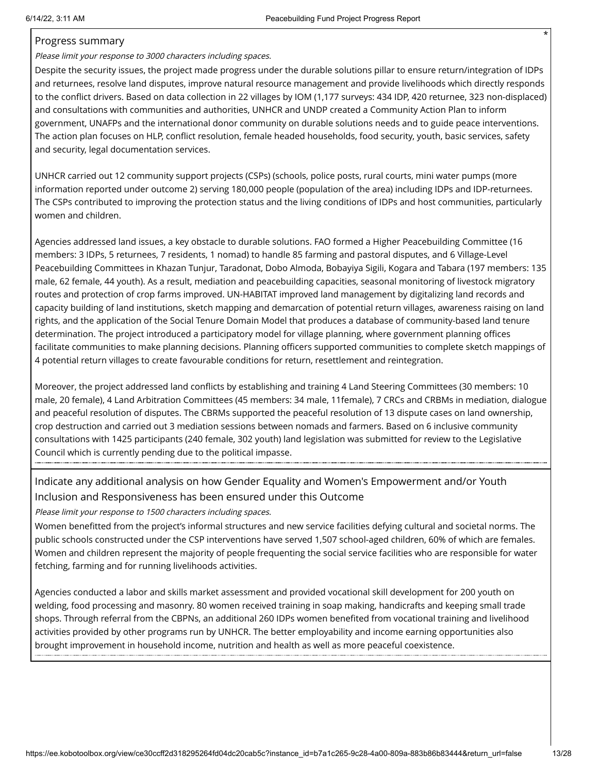#### Progress summary

Please limit your response to 3000 characters including spaces.

Despite the security issues, the project made progress under the durable solutions pillar to ensure return/integration of IDPs and returnees, resolve land disputes, improve natural resource management and provide livelihoods which directly responds to the conflict drivers. Based on data collection in 22 villages by IOM (1,177 surveys: 434 IDP, 420 returnee, 323 non-displaced) and consultations with communities and authorities, UNHCR and UNDP created a Community Action Plan to inform government, UNAFPs and the international donor community on durable solutions needs and to guide peace interventions. The action plan focuses on HLP, conflict resolution, female headed households, food security, youth, basic services, safety and security, legal documentation services.

UNHCR carried out 12 community support projects (CSPs) (schools, police posts, rural courts, mini water pumps (more information reported under outcome 2) serving 180,000 people (population of the area) including IDPs and IDP-returnees. The CSPs contributed to improving the protection status and the living conditions of IDPs and host communities, particularly women and children.

Agencies addressed land issues, a key obstacle to durable solutions. FAO formed a Higher Peacebuilding Committee (16 members: 3 IDPs, 5 returnees, 7 residents, 1 nomad) to handle 85 farming and pastoral disputes, and 6 Village-Level Peacebuilding Committees in Khazan Tunjur, Taradonat, Dobo Almoda, Bobayiya Sigili, Kogara and Tabara (197 members: 135 male, 62 female, 44 youth). As a result, mediation and peacebuilding capacities, seasonal monitoring of livestock migratory routes and protection of crop farms improved. UN-HABITAT improved land management by digitalizing land records and capacity building of land institutions, sketch mapping and demarcation of potential return villages, awareness raising on land rights, and the application of the Social Tenure Domain Model that produces a database of community-based land tenure determination. The project introduced a participatory model for village planning, where government planning offices facilitate communities to make planning decisions. Planning officers supported communities to complete sketch mappings of 4 potential return villages to create favourable conditions for return, resettlement and reintegration.

Moreover, the project addressed land conflicts by establishing and training 4 Land Steering Committees (30 members: 10 male, 20 female), 4 Land Arbitration Committees (45 members: 34 male, 11female), 7 CRCs and CRBMs in mediation, dialogue and peaceful resolution of disputes. The CBRMs supported the peaceful resolution of 13 dispute cases on land ownership, crop destruction and carried out 3 mediation sessions between nomads and farmers. Based on 6 inclusive community consultations with 1425 participants (240 female, 302 youth) land legislation was submitted for review to the Legislative Council which is currently pending due to the political impasse.

### Indicate any additional analysis on how Gender Equality and Women's Empowerment and/or Youth Inclusion and Responsiveness has been ensured under this Outcome

Please limit your response to 1500 characters including spaces.

Women benefitted from the project's informal structures and new service facilities defying cultural and societal norms. The public schools constructed under the CSP interventions have served 1,507 school-aged children, 60% of which are females. Women and children represent the majority of people frequenting the social service facilities who are responsible for water fetching, farming and for running livelihoods activities.

Agencies conducted a labor and skills market assessment and provided vocational skill development for 200 youth on welding, food processing and masonry. 80 women received training in soap making, handicrafts and keeping small trade shops. Through referral from the CBPNs, an additional 260 IDPs women benefited from vocational training and livelihood activities provided by other programs run by UNHCR. The better employability and income earning opportunities also brought improvement in household income, nutrition and health as well as more peaceful coexistence.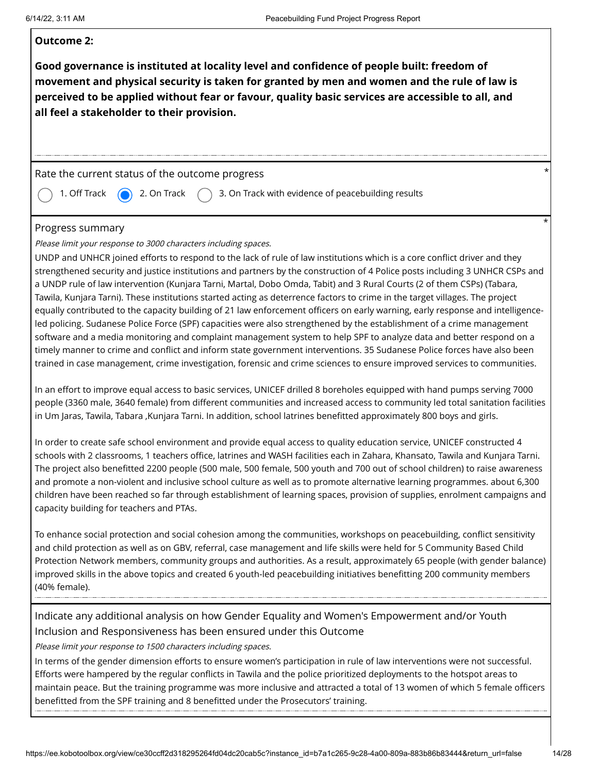#### **Outcome 2:**

**Good governance is instituted at locality level and confidence of people built: freedom of movement and physical security is taken for granted by men and women and the rule of law is perceived to be applied without fear or favour, quality basic services are accessible to all, and all feel a stakeholder to their provision.**

#### Rate the current status of the outcome progress

1. Off Track  $\qquad \qquad$  2. On Track  $\qquad \qquad$  3. On Track with evidence of peacebuilding results

#### Progress summary

Please limit your response to 3000 characters including spaces.

UNDP and UNHCR joined efforts to respond to the lack of rule of law institutions which is a core conflict driver and they strengthened security and justice institutions and partners by the construction of 4 Police posts including 3 UNHCR CSPs and a UNDP rule of law intervention (Kunjara Tarni, Martal, Dobo Omda, Tabit) and 3 Rural Courts (2 of them CSPs) (Tabara, Tawila, Kunjara Tarni). These institutions started acting as deterrence factors to crime in the target villages. The project equally contributed to the capacity building of 21 law enforcement officers on early warning, early response and intelligenceled policing. Sudanese Police Force (SPF) capacities were also strengthened by the establishment of a crime management software and a media monitoring and complaint management system to help SPF to analyze data and better respond on a timely manner to crime and conflict and inform state government interventions. 35 Sudanese Police forces have also been trained in case management, crime investigation, forensic and crime sciences to ensure improved services to communities.

In an effort to improve equal access to basic services, UNICEF drilled 8 boreholes equipped with hand pumps serving 7000 people (3360 male, 3640 female) from different communities and increased access to community led total sanitation facilities in Um Jaras, Tawila, Tabara ,Kunjara Tarni. In addition, school latrines benefitted approximately 800 boys and girls.

In order to create safe school environment and provide equal access to quality education service, UNICEF constructed 4 schools with 2 classrooms, 1 teachers office, latrines and WASH facilities each in Zahara, Khansato, Tawila and Kunjara Tarni. The project also benefitted 2200 people (500 male, 500 female, 500 youth and 700 out of school children) to raise awareness and promote a non-violent and inclusive school culture as well as to promote alternative learning programmes. about 6,300 children have been reached so far through establishment of learning spaces, provision of supplies, enrolment campaigns and capacity building for teachers and PTAs.

To enhance social protection and social cohesion among the communities, workshops on peacebuilding, conflict sensitivity and child protection as well as on GBV, referral, case management and life skills were held for 5 Community Based Child Protection Network members, community groups and authorities. As a result, approximately 65 people (with gender balance) improved skills in the above topics and created 6 youth-led peacebuilding initiatives benefitting 200 community members (40% female).

Indicate any additional analysis on how Gender Equality and Women's Empowerment and/or Youth Inclusion and Responsiveness has been ensured under this Outcome

Please limit your response to 1500 characters including spaces.

In terms of the gender dimension efforts to ensure women's participation in rule of law interventions were not successful. Efforts were hampered by the regular conflicts in Tawila and the police prioritized deployments to the hotspot areas to maintain peace. But the training programme was more inclusive and attracted a total of 13 women of which 5 female officers benefitted from the SPF training and 8 benefitted under the Prosecutors' training.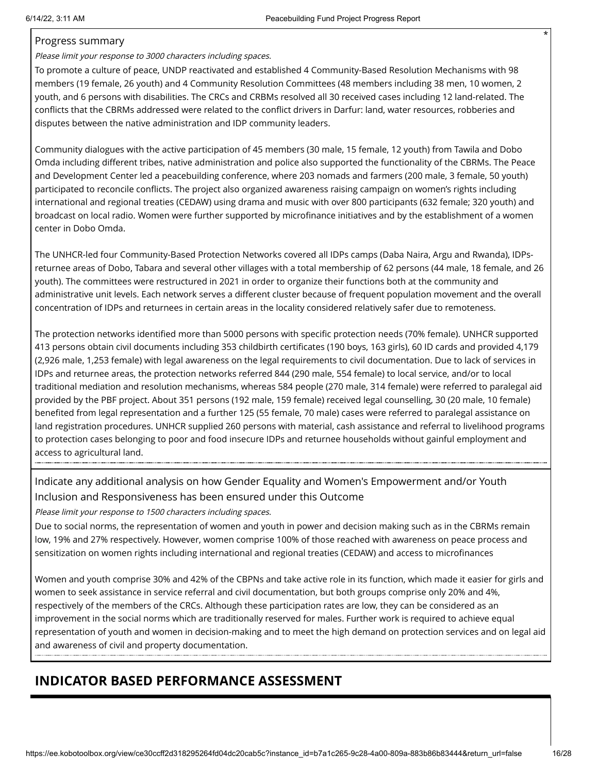#### Progress summary

Please limit your response to 3000 characters including spaces.

To promote a culture of peace, UNDP reactivated and established 4 Community-Based Resolution Mechanisms with 98 members (19 female, 26 youth) and 4 Community Resolution Committees (48 members including 38 men, 10 women, 2 youth, and 6 persons with disabilities. The CRCs and CRBMs resolved all 30 received cases including 12 land-related. The conflicts that the CBRMs addressed were related to the conflict drivers in Darfur: land, water resources, robberies and disputes between the native administration and IDP community leaders.

Community dialogues with the active participation of 45 members (30 male, 15 female, 12 youth) from Tawila and Dobo Omda including different tribes, native administration and police also supported the functionality of the CBRMs. The Peace and Development Center led a peacebuilding conference, where 203 nomads and farmers (200 male, 3 female, 50 youth) participated to reconcile conflicts. The project also organized awareness raising campaign on women's rights including international and regional treaties (CEDAW) using drama and music with over 800 participants (632 female; 320 youth) and broadcast on local radio. Women were further supported by microfinance initiatives and by the establishment of a women center in Dobo Omda.

The UNHCR-led four Community-Based Protection Networks covered all IDPs camps (Daba Naira, Argu and Rwanda), IDPsreturnee areas of Dobo, Tabara and several other villages with a total membership of 62 persons (44 male, 18 female, and 26 youth). The committees were restructured in 2021 in order to organize their functions both at the community and administrative unit levels. Each network serves a different cluster because of frequent population movement and the overall concentration of IDPs and returnees in certain areas in the locality considered relatively safer due to remoteness.

The protection networks identified more than 5000 persons with specific protection needs (70% female). UNHCR supported 413 persons obtain civil documents including 353 childbirth certificates (190 boys, 163 girls), 60 ID cards and provided 4,179 (2,926 male, 1,253 female) with legal awareness on the legal requirements to civil documentation. Due to lack of services in IDPs and returnee areas, the protection networks referred 844 (290 male, 554 female) to local service, and/or to local traditional mediation and resolution mechanisms, whereas 584 people (270 male, 314 female) were referred to paralegal aid provided by the PBF project. About 351 persons (192 male, 159 female) received legal counselling, 30 (20 male, 10 female) benefited from legal representation and a further 125 (55 female, 70 male) cases were referred to paralegal assistance on land registration procedures. UNHCR supplied 260 persons with material, cash assistance and referral to livelihood programs to protection cases belonging to poor and food insecure IDPs and returnee households without gainful employment and access to agricultural land.

### Indicate any additional analysis on how Gender Equality and Women's Empowerment and/or Youth Inclusion and Responsiveness has been ensured under this Outcome

Please limit your response to 1500 characters including spaces.

Due to social norms, the representation of women and youth in power and decision making such as in the CBRMs remain low, 19% and 27% respectively. However, women comprise 100% of those reached with awareness on peace process and sensitization on women rights including international and regional treaties (CEDAW) and access to microfinances

Women and youth comprise 30% and 42% of the CBPNs and take active role in its function, which made it easier for girls and women to seek assistance in service referral and civil documentation, but both groups comprise only 20% and 4%, respectively of the members of the CRCs. Although these participation rates are low, they can be considered as an improvement in the social norms which are traditionally reserved for males. Further work is required to achieve equal representation of youth and women in decision-making and to meet the high demand on protection services and on legal aid and awareness of civil and property documentation.

# **INDICATOR BASED PERFORMANCE ASSESSMENT**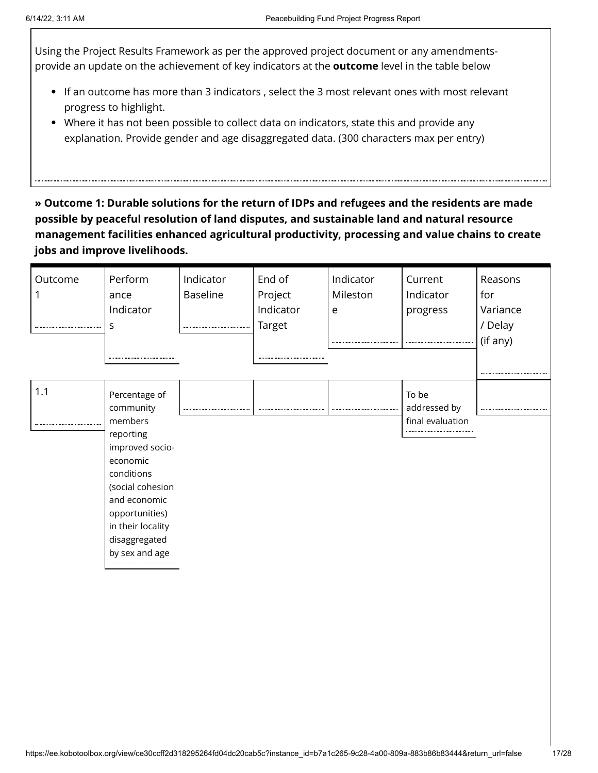Using the Project Results Framework as per the approved project document or any amendmentsprovide an update on the achievement of key indicators at the **outcome** level in the table below

- If an outcome has more than 3 indicators , select the 3 most relevant ones with most relevant progress to highlight.
- Where it has not been possible to collect data on indicators, state this and provide any explanation. Provide gender and age disaggregated data. (300 characters max per entry)

**» Outcome 1: Durable solutions for the return of IDPs and refugees and the residents are made possible by peaceful resolution of land disputes, and sustainable land and natural resource management facilities enhanced agricultural productivity, processing and value chains to create jobs and improve livelihoods.**

| Outcome | Perform<br>ance<br>Indicator<br>S                                                                                                                                                                             | Indicator<br>Baseline | End of<br>Project<br>Indicator<br><b>Target</b> | Indicator<br>Mileston<br>e | Current<br>Indicator<br>progress          | Reasons<br>for<br>Variance<br>/ Delay<br>(if any) |
|---------|---------------------------------------------------------------------------------------------------------------------------------------------------------------------------------------------------------------|-----------------------|-------------------------------------------------|----------------------------|-------------------------------------------|---------------------------------------------------|
| 1.1     | Percentage of<br>community<br>members<br>reporting<br>improved socio-<br>economic<br>conditions<br>(social cohesion<br>and economic<br>opportunities)<br>in their locality<br>disaggregated<br>by sex and age |                       |                                                 |                            | To be<br>addressed by<br>final evaluation |                                                   |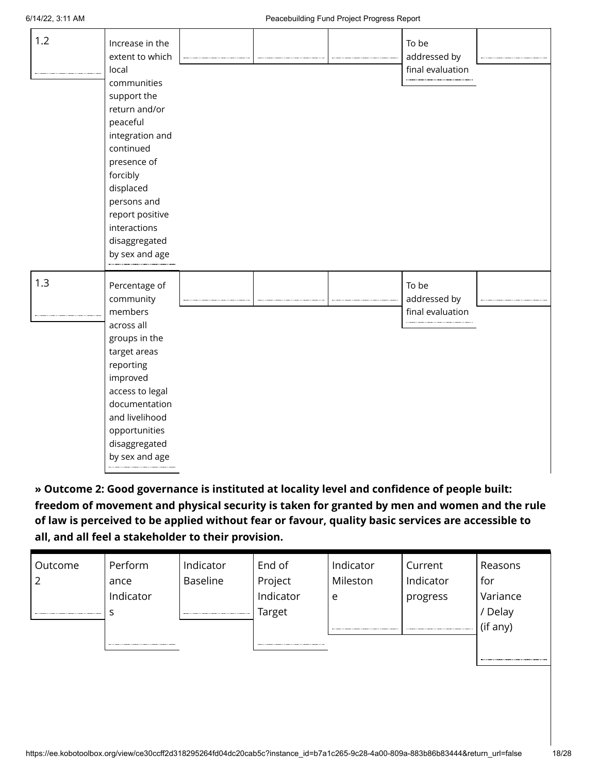| 1.2 | Increase in the<br>extent to which<br>local<br>communities<br>support the<br>return and/or<br>peaceful<br>integration and<br>continued<br>presence of<br>forcibly<br>displaced<br>persons and<br>report positive<br>interactions<br>disaggregated<br>by sex and age |  | To be<br>addressed by<br>final evaluation |  |
|-----|---------------------------------------------------------------------------------------------------------------------------------------------------------------------------------------------------------------------------------------------------------------------|--|-------------------------------------------|--|
| 1.3 | Percentage of<br>community<br>members<br>across all<br>groups in the<br>target areas<br>reporting<br>improved<br>access to legal<br>documentation<br>and livelihood<br>opportunities<br>disaggregated<br>by sex and age                                             |  | To be<br>addressed by<br>final evaluation |  |

**» Outcome 2: Good governance is instituted at locality level and confidence of people built: freedom of movement and physical security is taken for granted by men and women and the rule of law is perceived to be applied without fear or favour, quality basic services are accessible to all, and all feel a stakeholder to their provision.**

| Outcome | Perform   | Indicator       | End of    | Indicator    | Current   | Reasons  |
|---------|-----------|-----------------|-----------|--------------|-----------|----------|
| ∠       | ance      | <b>Baseline</b> | Project   | Mileston     | Indicator | for      |
|         | Indicator |                 | Indicator | e            | progress  | Variance |
|         |           |                 | Target    |              |           | Delay    |
|         |           |                 |           | ------------ | --------- | (if any) |
|         |           |                 |           |              |           |          |
|         |           |                 |           |              |           |          |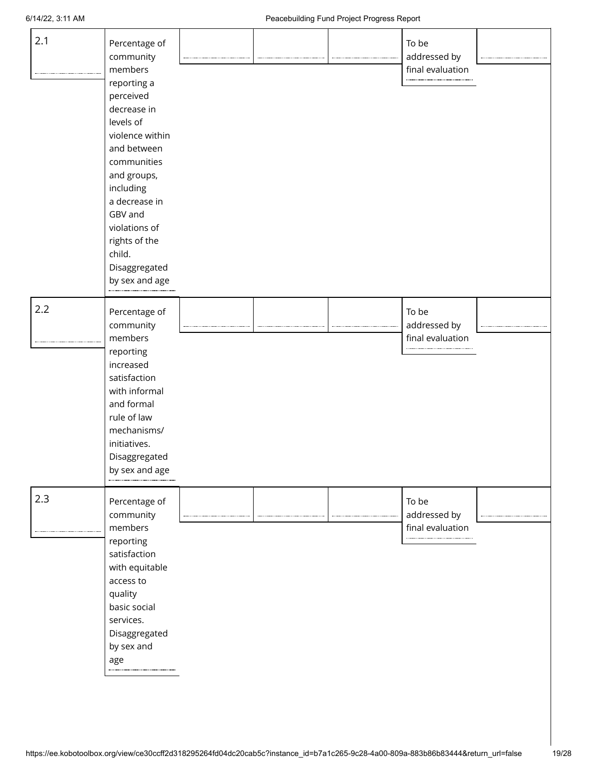| 2.1 | Percentage of<br>community<br>members<br>reporting a<br>perceived<br>decrease in<br>levels of<br>violence within<br>and between                                                                 |  | To be<br>addressed by<br>final evaluation     |  |
|-----|-------------------------------------------------------------------------------------------------------------------------------------------------------------------------------------------------|--|-----------------------------------------------|--|
|     | communities<br>and groups,<br>including<br>a decrease in<br>GBV and<br>violations of<br>rights of the<br>child.<br>Disaggregated<br>by sex and age                                              |  |                                               |  |
| 2.2 | Percentage of<br>community<br>members<br>reporting<br>increased<br>satisfaction<br>with informal<br>and formal<br>rule of law<br>mechanisms/<br>initiatives.<br>Disaggregated<br>by sex and age |  | To be<br>addressed by<br>final evaluation<br> |  |
| 2.3 | Percentage of<br>community<br>members<br>reporting<br>satisfaction<br>with equitable<br>access to<br>quality<br>basic social<br>services.<br>Disaggregated<br>by sex and<br>age                 |  | To be<br>addressed by<br>final evaluation     |  |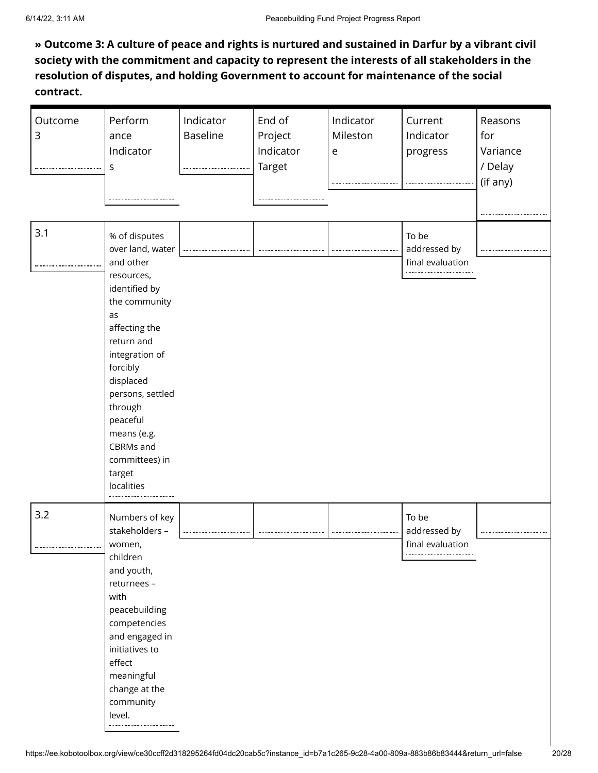**» Outcome 3: A culture of peace and rights is nurtured and sustained in Darfur by a vibrant civil society with the commitment and capacity to represent the interests of all stakeholders in the resolution of disputes, and holding Government to account for maintenance of the social contract.**

| Outcome<br>3 | Perform<br>ance<br>Indicator<br>S<br>                                                                                                                                                                                                                                                           | Indicator<br><b>Baseline</b> | End of<br>Project<br>Indicator<br>Target | Indicator<br>Mileston<br>$\mathsf{e}% _{0}\left( \mathsf{e}\right)$ | Current<br>Indicator<br>progress          | Reasons<br>for<br>Variance<br>/ Delay<br>(if any) |
|--------------|-------------------------------------------------------------------------------------------------------------------------------------------------------------------------------------------------------------------------------------------------------------------------------------------------|------------------------------|------------------------------------------|---------------------------------------------------------------------|-------------------------------------------|---------------------------------------------------|
| 3.1          | % of disputes<br>over land, water<br>and other<br>resources,<br>identified by<br>the community<br>as<br>affecting the<br>return and<br>integration of<br>forcibly<br>displaced<br>persons, settled<br>through<br>peaceful<br>means (e.g.<br>CBRMs and<br>committees) in<br>target<br>localities |                              |                                          |                                                                     | To be<br>addressed by<br>final evaluation |                                                   |
| 3.2          | Numbers of key<br>stakeholders -<br>women,<br>children<br>and youth,<br>returnees -<br>with<br>peacebuilding<br>competencies<br>and engaged in<br>initiatives to<br>effect<br>meaningful<br>change at the<br>community<br>level.                                                                |                              |                                          |                                                                     | To be<br>addressed by<br>final evaluation |                                                   |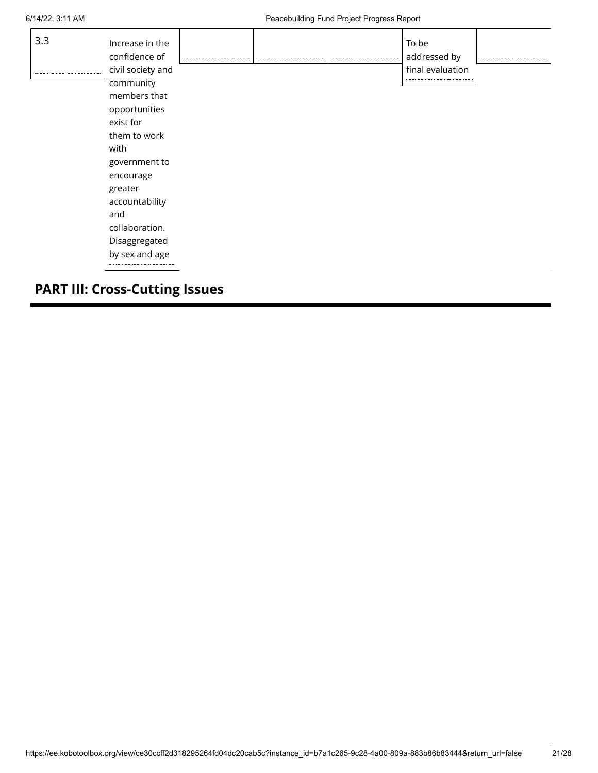| 3.3 | Increase in the<br>confidence of |  | <br>To be<br>addressed by |  |
|-----|----------------------------------|--|---------------------------|--|
|     | civil society and                |  | final evaluation          |  |
|     | community                        |  |                           |  |
|     | members that                     |  |                           |  |
|     | opportunities                    |  |                           |  |
|     | exist for                        |  |                           |  |
|     | them to work                     |  |                           |  |
|     | with                             |  |                           |  |
|     | government to                    |  |                           |  |
|     | encourage                        |  |                           |  |
|     | greater                          |  |                           |  |
|     | accountability                   |  |                           |  |
|     | and                              |  |                           |  |
|     | collaboration.                   |  |                           |  |
|     | Disaggregated                    |  |                           |  |
|     | by sex and age                   |  |                           |  |
|     |                                  |  |                           |  |

# **PART III: Cross-Cutting Issues**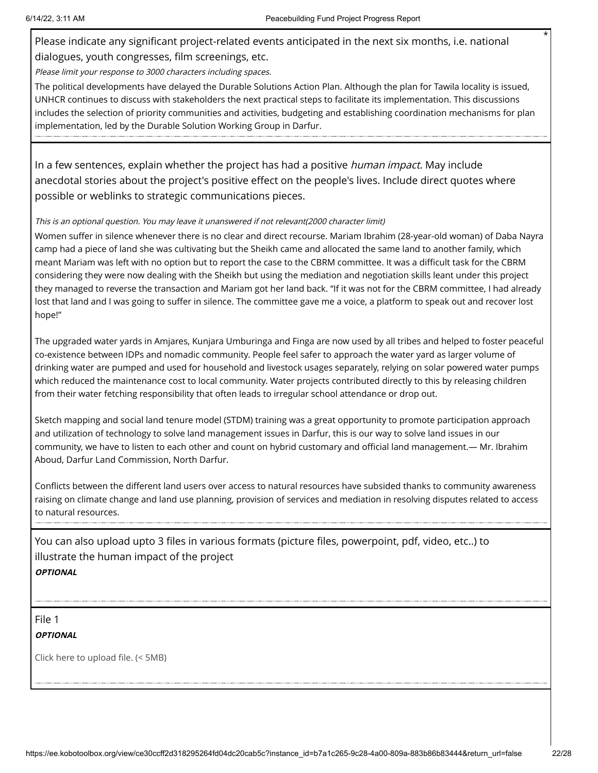Please indicate any significant project-related events anticipated in the next six months, i.e. national dialogues, youth congresses, film screenings, etc.

Please limit your response to 3000 characters including spaces.

The political developments have delayed the Durable Solutions Action Plan. Although the plan for Tawila locality is issued, UNHCR continues to discuss with stakeholders the next practical steps to facilitate its implementation. This discussions includes the selection of priority communities and activities, budgeting and establishing coordination mechanisms for plan implementation, led by the Durable Solution Working Group in Darfur.

In a few sentences, explain whether the project has had a positive *human impact*. May include anecdotal stories about the project's positive effect on the people's lives. Include direct quotes where possible or weblinks to strategic communications pieces.

#### This is an optional question. You may leave it unanswered if not relevant(2000 character limit)

Women suffer in silence whenever there is no clear and direct recourse. Mariam Ibrahim (28-year-old woman) of Daba Nayra camp had a piece of land she was cultivating but the Sheikh came and allocated the same land to another family, which meant Mariam was left with no option but to report the case to the CBRM committee. It was a difficult task for the CBRM considering they were now dealing with the Sheikh but using the mediation and negotiation skills leant under this project they managed to reverse the transaction and Mariam got her land back. "If it was not for the CBRM committee, I had already lost that land and I was going to suffer in silence. The committee gave me a voice, a platform to speak out and recover lost hope!"

The upgraded water yards in Amjares, Kunjara Umburinga and Finga are now used by all tribes and helped to foster peaceful co-existence between IDPs and nomadic community. People feel safer to approach the water yard as larger volume of drinking water are pumped and used for household and livestock usages separately, relying on solar powered water pumps which reduced the maintenance cost to local community. Water projects contributed directly to this by releasing children from their water fetching responsibility that often leads to irregular school attendance or drop out.

Sketch mapping and social land tenure model (STDM) training was a great opportunity to promote participation approach and utilization of technology to solve land management issues in Darfur, this is our way to solve land issues in our community, we have to listen to each other and count on hybrid customary and official land management.— Mr. Ibrahim Aboud, Darfur Land Commission, North Darfur.

Conflicts between the different land users over access to natural resources have subsided thanks to community awareness raising on climate change and land use planning, provision of services and mediation in resolving disputes related to access to natural resources.

You can also upload upto 3 files in various formats (picture files, powerpoint, pdf, video, etc..) to illustrate the human impact of the project **OPTIONAL**

File 1 **OPTIONAL**

Click here to upload file. (< 5MB)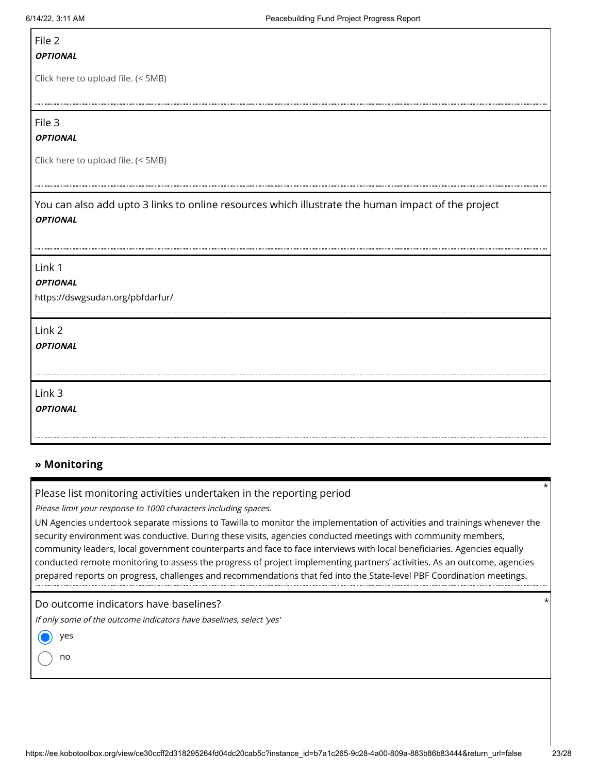## File 2

#### **OPTIONAL**

Click here to upload file. (< 5MB)

File 3

#### **OPTIONAL**

Click here to upload file. (< 5MB)

You can also add upto 3 links to online resources which illustrate the human impact of the project **OPTIONAL**

Link 1

#### **OPTIONAL**

https://dswgsudan.org/pbfdarfur/

Link 2

**OPTIONAL**

Link 3

**OPTIONAL**

### **» Monitoring**

#### Please list monitoring activities undertaken in the reporting period

Please limit your response to 1000 characters including spaces.

UN Agencies undertook separate missions to Tawilla to monitor the implementation of activities and trainings whenever the security environment was conductive. During these visits, agencies conducted meetings with community members, community leaders, local government counterparts and face to face interviews with local beneficiaries. Agencies equally conducted remote monitoring to assess the progress of project implementing partners' activities. As an outcome, agencies prepared reports on progress, challenges and recommendations that fed into the State-level PBF Coordination meetings.

#### Do outcome indicators have baselines?

If only some of the outcome indicators have baselines, select 'yes'

yes

no

\*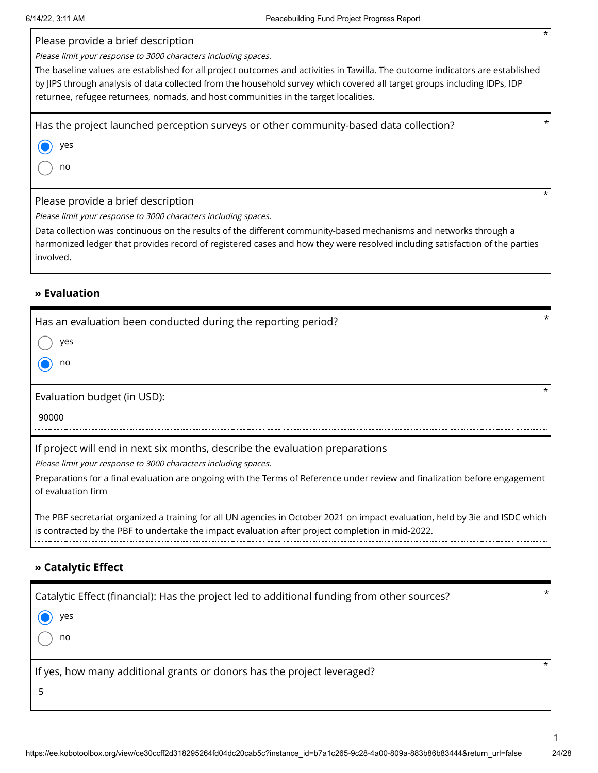Please provide a brief description

Please limit your response to 3000 characters including spaces.

The baseline values are established for all project outcomes and activities in Tawilla. The outcome indicators are established by JIPS through analysis of data collected from the household survey which covered all target groups including IDPs, IDP returnee, refugee returnees, nomads, and host communities in the target localities.

Has the project launched perception surveys or other community-based data collection? \*

yes

no

Please provide a brief description

Please limit your response to 3000 characters including spaces.

Data collection was continuous on the results of the different community-based mechanisms and networks through a harmonized ledger that provides record of registered cases and how they were resolved including satisfaction of the parties involved.

### **» Evaluation**

| Has an evaluation been conducted during the reporting period?                                                                                     |  |
|---------------------------------------------------------------------------------------------------------------------------------------------------|--|
| ves                                                                                                                                               |  |
| no                                                                                                                                                |  |
|                                                                                                                                                   |  |
| Evaluation budget (in USD):                                                                                                                       |  |
| 90000                                                                                                                                             |  |
| If project will end in next six months, describe the evaluation preparations                                                                      |  |
| Please limit your response to 3000 characters including spaces.                                                                                   |  |
| Preparations for a final evaluation are ongoing with the Terms of Reference under review and finalization before engagement<br>of evaluation firm |  |

The PBF secretariat organized a training for all UN agencies in October 2021 on impact evaluation, held by 3ie and ISDC which is contracted by the PBF to undertake the impact evaluation after project completion in mid-2022.

### **» Catalytic Effect**

| Catalytic Effect (financial): Has the project led to additional funding from other sources? |  |
|---------------------------------------------------------------------------------------------|--|
| ves                                                                                         |  |
| no                                                                                          |  |
| If yes, how many additional grants or donors has the project leveraged?                     |  |
|                                                                                             |  |

**1**

\*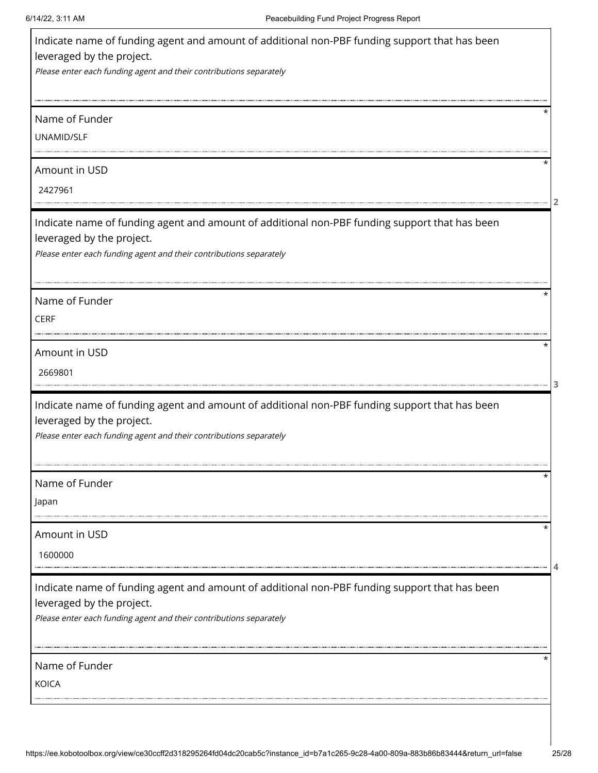| 2427961<br>leveraged by the project.<br>2669801<br>leveraged by the project.<br>1600000<br>leveraged by the project.<br>Name of Funder | Indicate name of funding agent and amount of additional non-PBF funding support that has been<br>leveraged by the project. |  |
|----------------------------------------------------------------------------------------------------------------------------------------|----------------------------------------------------------------------------------------------------------------------------|--|
|                                                                                                                                        | Please enter each funding agent and their contributions separately                                                         |  |
|                                                                                                                                        | Name of Funder                                                                                                             |  |
|                                                                                                                                        | UNAMID/SLF                                                                                                                 |  |
|                                                                                                                                        | Amount in USD                                                                                                              |  |
|                                                                                                                                        |                                                                                                                            |  |
|                                                                                                                                        | Indicate name of funding agent and amount of additional non-PBF funding support that has been                              |  |
|                                                                                                                                        | Please enter each funding agent and their contributions separately                                                         |  |
|                                                                                                                                        | Name of Funder                                                                                                             |  |
|                                                                                                                                        | <b>CERF</b>                                                                                                                |  |
|                                                                                                                                        | Amount in USD                                                                                                              |  |
|                                                                                                                                        |                                                                                                                            |  |
|                                                                                                                                        | Indicate name of funding agent and amount of additional non-PBF funding support that has been                              |  |
|                                                                                                                                        | Please enter each funding agent and their contributions separately                                                         |  |
|                                                                                                                                        | Name of Funder                                                                                                             |  |
|                                                                                                                                        | Japan                                                                                                                      |  |
|                                                                                                                                        | Amount in USD                                                                                                              |  |
|                                                                                                                                        |                                                                                                                            |  |
|                                                                                                                                        | Indicate name of funding agent and amount of additional non-PBF funding support that has been                              |  |
|                                                                                                                                        | Please enter each funding agent and their contributions separately                                                         |  |
|                                                                                                                                        |                                                                                                                            |  |
|                                                                                                                                        | <b>KOICA</b>                                                                                                               |  |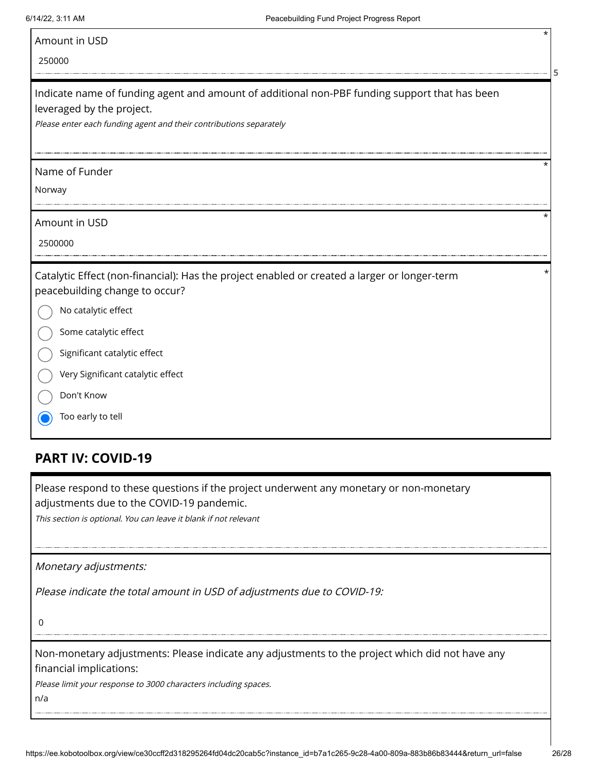|  | Amount in USD |  |  |
|--|---------------|--|--|
|--|---------------|--|--|

250000

| Indicate name of funding agent and amount of additional non-PBF funding support that has been |
|-----------------------------------------------------------------------------------------------|
| leveraged by the project.                                                                     |

Please enter each funding agent and their contributions separately

#### Name of Funder

Norway

Amount in USD

2500000

Catalytic Effect (non-financial): Has the project enabled or created a larger or longer‐term peacebuilding change to occur?

No catalytic effect

Some catalytic effect

Significant catalytic effect

Very Significant catalytic effect

Don't Know

Too early to tell

## **PART IV: COVID-19**

Please respond to these questions if the project underwent any monetary or non-monetary adjustments due to the COVID-19 pandemic.

This section is optional. You can leave it blank if not relevant

Monetary adjustments:

Please indicate the total amount in USD of adjustments due to COVID-19:

0

Non-monetary adjustments: Please indicate any adjustments to the project which did not have any financial implications:

Please limit your response to 3000 characters including spaces.

n/a

\*

**5**

\*

\*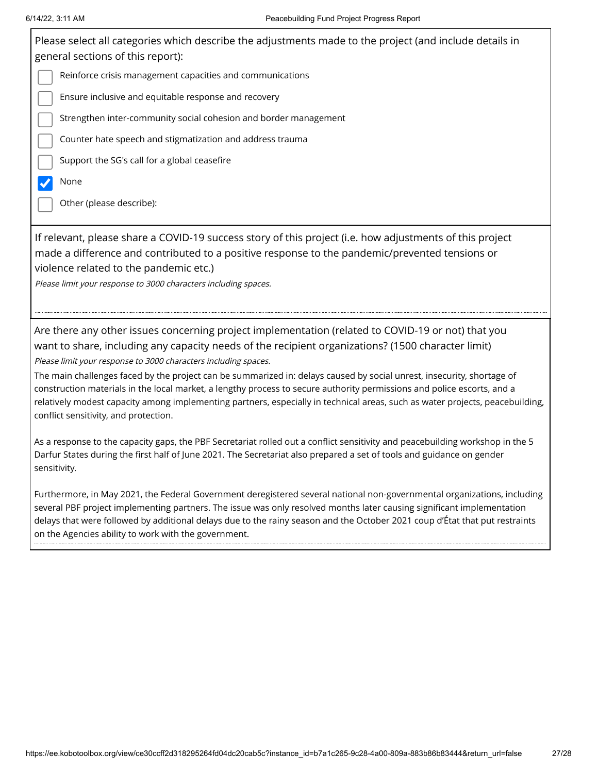6/14/22, 3:11 AM Peacebuilding Fund Project Progress Report Please select all categories which describe the adjustments made to the project (and include details in general sections of this report): Reinforce crisis management capacities and communications Ensure inclusive and equitable response and recovery Strengthen inter-community social cohesion and border management Counter hate speech and stigmatization and address trauma Support the SG's call for a global ceasefire None  $\blacktriangledown$ Other (please describe): If relevant, please share a COVID-19 success story of this project (i.e. how adjustments of this project made a difference and contributed to a positive response to the pandemic/prevented tensions or violence related to the pandemic etc.) Please limit your response to 3000 characters including spaces. Are there any other issues concerning project implementation (related to COVID-19 or not) that you want to share, including any capacity needs of the recipient organizations? (1500 character limit) Please limit your response to 3000 characters including spaces. The main challenges faced by the project can be summarized in: delays caused by social unrest, insecurity, shortage of construction materials in the local market, a lengthy process to secure authority permissions and police escorts, and a relatively modest capacity among implementing partners, especially in technical areas, such as water projects, peacebuilding, conflict sensitivity, and protection. As a response to the capacity gaps, the PBF Secretariat rolled out a conflict sensitivity and peacebuilding workshop in the 5 Darfur States during the first half of June 2021. The Secretariat also prepared a set of tools and guidance on gender sensitivity.

Furthermore, in May 2021, the Federal Government deregistered several national non-governmental organizations, including several PBF project implementing partners. The issue was only resolved months later causing significant implementation delays that were followed by additional delays due to the rainy season and the October 2021 coup d'État that put restraints on the Agencies ability to work with the government.